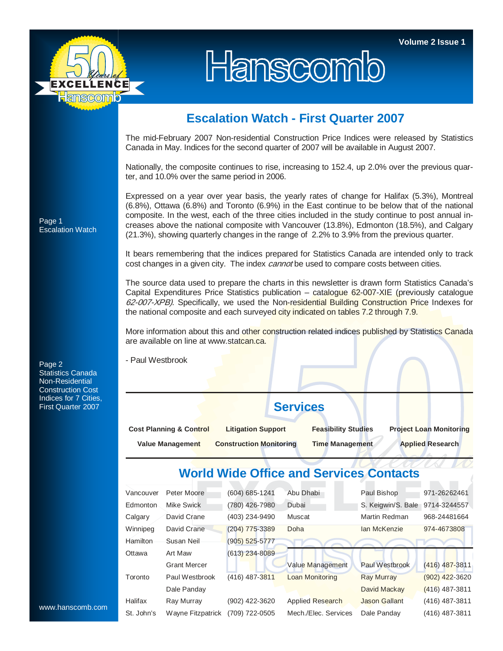

## Hanscomb

## **Escalation Watch - First Quarter 2007**

The mid-February 2007 Non-residential Construction Price Indices were released by Statistics Canada in May. Indices for the second quarter of 2007 will be available in August 2007.

Nationally, the composite continues to rise, increasing to 152.4, up 2.0% over the previous quarter, and 10.0% over the same period in 2006.

Expressed on a year over year basis, the yearly rates of change for Halifax (5.3%), Montreal (6.8%), Ottawa (6.8%) and Toronto (6.9%) in the East continue to be below that of the national composite. In the west, each of the three cities included in the study continue to post annual increases above the national composite with Vancouver (13.8%), Edmonton (18.5%), and Calgary (21.3%), showing quarterly changes in the range of 2.2% to 3.9% from the previous quarter.

It bears remembering that the indices prepared for Statistics Canada are intended only to track cost changes in a given city. The index *cannot* be used to compare costs between cities.

The source data used to prepare the charts in this newsletter is drawn form Statistics Canada's Capital Expenditures Price Statistics publication – catalogue 62-007-XIE (previously catalogue 62-007-XPB). Specifically, we used the Non-residential Building Construction Price Indexes for the national composite and each surveyed city indicated on tables 7.2 through 7.9.

More information about this and other construction related indices published by Statistics Canada are available on line at www.statcan.ca.

- Paul Westbrook

**Services** 

| <b>Cost Planning &amp; Control</b> | <b>Litigation Support</b>      | <b>Feasibility Studies</b> | <b>Project Loan Monitoring</b> |  |
|------------------------------------|--------------------------------|----------------------------|--------------------------------|--|
| Value Management                   | <b>Construction Monitoring</b> | <b>Time Management</b>     | <b>Applied Research</b>        |  |

## **World Wide Office and Services Contacts**

| Vancouver  | Peter Moore         | $(604) 685 - 1241$ | Abu Dhabi               | Paul Bishop          | 971-26262461     |
|------------|---------------------|--------------------|-------------------------|----------------------|------------------|
| Edmonton   | Mike Swick          | (780) 426-7980     | Dubai                   | S. Keigwin/S. Bale   | 9714-3244557     |
| Calgary    | David Crane         | (403) 234-9490     | Muscat                  | Martin Redman        | 968-24481664     |
| Winnipeg   | David Crane         | $(204)$ 775-3389   | Doha                    | Ian McKenzie         | 974-4673808      |
| Hamilton   | Susan Neil          | $(905)$ 525-5777   |                         |                      |                  |
| Ottawa     | Art Maw             | $(613)$ 234-8089   |                         |                      |                  |
|            | <b>Grant Mercer</b> |                    | Value Management        | Paul Westbrook       | $(416)$ 487-3811 |
| Toronto    | Paul Westbrook      | $(416)$ 487-3811   | <b>Loan Monitoring</b>  | <b>Ray Murray</b>    | $(902)$ 422-3620 |
|            | Dale Panday         |                    |                         | David Mackay         | $(416)$ 487-3811 |
| Halifax    | Ray Murray          | (902) 422-3620     | <b>Applied Research</b> | <b>Jason Gallant</b> | $(416)$ 487-3811 |
| St. John's | Wayne Fitzpatrick   | (709) 722-0505     | Mech./Elec. Services    | Dale Panday          | $(416)$ 487-3811 |

Page 1 Escalation Watch

Page 2 Statistics Canada Non-Residential Construction Cost Indices for 7 Cities, First Quarter 2007